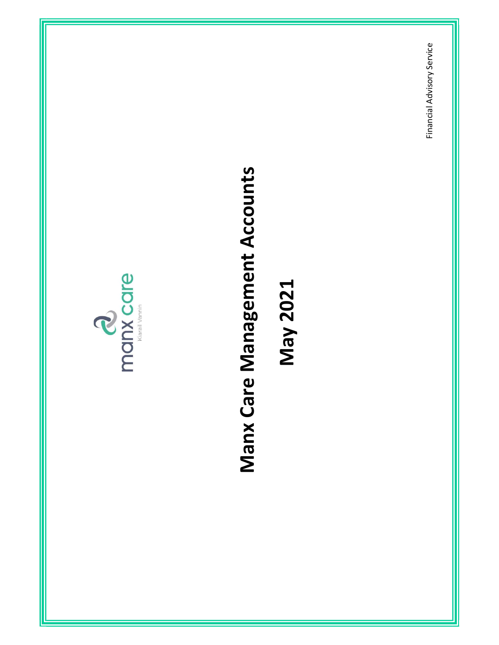

# Manx Care Management Accounts<br>May 2021<br>Financial Advisory Service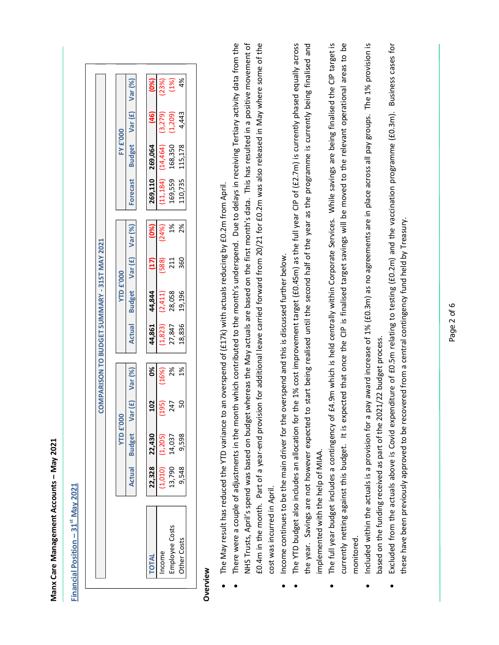| $-31$ <sup>st</sup> May 2021<br><b>Financial Position</b>                                                                                                                                                                          |                            |                            |                       |                                              |                             |                             |                     |                      |                                 |                                 |                              |                                                                                                          |  |
|------------------------------------------------------------------------------------------------------------------------------------------------------------------------------------------------------------------------------------|----------------------------|----------------------------|-----------------------|----------------------------------------------|-----------------------------|-----------------------------|---------------------|----------------------|---------------------------------|---------------------------------|------------------------------|----------------------------------------------------------------------------------------------------------|--|
|                                                                                                                                                                                                                                    |                            |                            |                       | COMPARISON TO BUDGET SUMMARY - 31ST MAY 2021 |                             |                             |                     |                      |                                 |                                 |                              |                                                                                                          |  |
|                                                                                                                                                                                                                                    |                            | <b>YTD £'000</b>           |                       |                                              |                             | <b>YTD £'000</b>            |                     |                      |                                 | <b>FY £'000</b>                 |                              |                                                                                                          |  |
|                                                                                                                                                                                                                                    | Actual                     | <b>Budget</b>              | $\mathbf{F}$<br>Var ( | Var (%)                                      | Actual                      | <b>Budget</b>               | Var $(f)$           | Var (%)              | Forecast                        | <b>Budget</b>                   | Var (£)                      | Var (%)                                                                                                  |  |
| <b>TOTAL</b>                                                                                                                                                                                                                       | 22,328                     | 22,430                     | 102                   | 0%                                           | 44,861                      | 44,844                      | (17)                | (0%)                 | 269,110                         | 269,064                         | (46)                         | (0%)                                                                                                     |  |
| Employee Costs<br>Other Costs<br>Income                                                                                                                                                                                            | 13,790<br>9,548<br>(1,010) | (1,205)<br>9,598<br>14,037 | င္တ<br>(195)<br>247   | 2%<br>$\frac{5}{6}$<br>(16%)                 | 18,836<br>(1,823)<br>27,847 | 28,058<br>19,196<br>(2,411) | 360<br>(588)<br>211 | $1\%$<br>2%<br>(24%) | (11, 184)<br>169,559<br>110,735 | 168,350<br>(14, 464)<br>115,178 | 4,443<br>(3,279)<br>(1, 209) | 4%<br>(1%)<br>(23%)                                                                                      |  |
| Overview                                                                                                                                                                                                                           |                            |                            |                       |                                              |                             |                             |                     |                      |                                 |                                 |                              |                                                                                                          |  |
| The May result has reduced the YTD variance to an overspend of (£17k) with actuals reducing by £0.2m from April.                                                                                                                   |                            |                            |                       |                                              |                             |                             |                     |                      |                                 |                                 |                              |                                                                                                          |  |
| There were a couple of adjustments in the month which contributed to the month's underspend. Due to delays in receiving Tertiary activity data from the                                                                            |                            |                            |                       |                                              |                             |                             |                     |                      |                                 |                                 |                              |                                                                                                          |  |
| NHS Trusts, April's spend was based on budget whereas the May actuals are based on the first month's data. This has resulted in a positive movement of<br>£0.4m in the month. Part of a year-end provisio                          |                            |                            |                       |                                              |                             |                             |                     |                      |                                 |                                 |                              | n for additional leave carried forward from 20/21 for £0.2m was also released in May where some of the   |  |
| cost was incurred in April.                                                                                                                                                                                                        |                            |                            |                       |                                              |                             |                             |                     |                      |                                 |                                 |                              |                                                                                                          |  |
| Income continues to be the main driver for the overspend and this is discussed further below.                                                                                                                                      |                            |                            |                       |                                              |                             |                             |                     |                      |                                 |                                 |                              |                                                                                                          |  |
| The YTD budget also includes an allocation for the 1% cost improvement target (£0.45m) as the full year CIP of (£2.7m) is currently phased equally across                                                                          |                            |                            |                       |                                              |                             |                             |                     |                      |                                 |                                 |                              |                                                                                                          |  |
| the year. Savings are not however expected to<br>implemented with the help of MIAA.                                                                                                                                                |                            |                            |                       |                                              |                             |                             |                     |                      |                                 |                                 |                              | start being realised until the second half of the year as the programme is currently being finalised and |  |
| The full year budget includes a contingency of £4.9m which is held centrally within Corporate Services. While savings are being finalised the CIP target is                                                                        |                            |                            |                       |                                              |                             |                             |                     |                      |                                 |                                 |                              |                                                                                                          |  |
| currently netting against this budget. It is expected that once the CIP is finalised target savings will be moved to the relevant operational areas to be                                                                          |                            |                            |                       |                                              |                             |                             |                     |                      |                                 |                                 |                              |                                                                                                          |  |
| monitored.                                                                                                                                                                                                                         |                            |                            |                       |                                              |                             |                             |                     |                      |                                 |                                 |                              |                                                                                                          |  |
| Included within the actuals is a provision for a pay award increase of 1% (£0.3m) as no agreements are in place across all pay groups. The 1% provision is<br>based on the funding received as part of the 2021/22 budget process. |                            |                            |                       |                                              |                             |                             |                     |                      |                                 |                                 |                              |                                                                                                          |  |
| Excluded from the actuals above is Covid expenditure of £0.5m relating to testing (£0.2m) and the vaccination programme (£0.3m).                                                                                                   |                            |                            |                       |                                              |                             |                             |                     |                      |                                 |                                 |                              | Business cases for                                                                                       |  |
| these have been previously approved to be recovered from a central contingency fund held by Treasury.                                                                                                                              |                            |                            |                       |                                              |                             |                             |                     |                      |                                 |                                 |                              |                                                                                                          |  |
|                                                                                                                                                                                                                                    |                            |                            |                       |                                              |                             |                             |                     |                      |                                 |                                 |                              |                                                                                                          |  |
|                                                                                                                                                                                                                                    |                            |                            |                       |                                              |                             |                             |                     |                      |                                 |                                 |                              |                                                                                                          |  |
|                                                                                                                                                                                                                                    |                            |                            |                       |                                              | Page 2 of 6                 |                             |                     |                      |                                 |                                 |                              |                                                                                                          |  |

- 
- 
- 
- 
- 
- 
-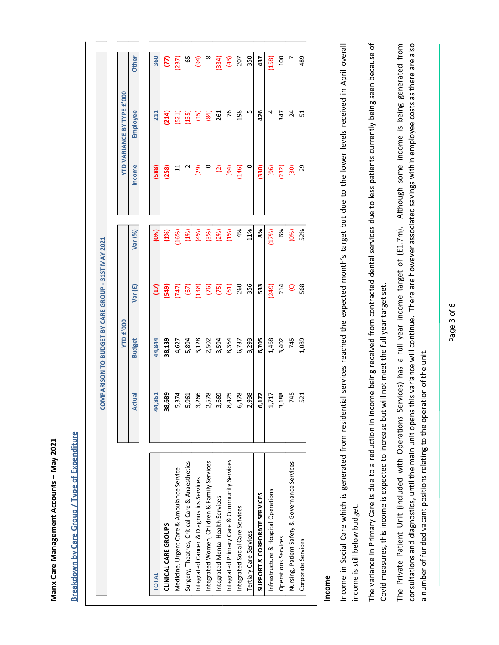|                                                                                                                                                                                                                                                                              |        | COMPARISON TO BUDGET BY CARE GROUP - 31ST MAY 2021 |         |         |                      |                                              |                     |  |
|------------------------------------------------------------------------------------------------------------------------------------------------------------------------------------------------------------------------------------------------------------------------------|--------|----------------------------------------------------|---------|---------|----------------------|----------------------------------------------|---------------------|--|
|                                                                                                                                                                                                                                                                              |        | <b>YTD £'000</b>                                   |         |         |                      | <b>YTD VARIANCE BY TYPE £'000</b>            |                     |  |
|                                                                                                                                                                                                                                                                              | Actual | <b>Budget</b>                                      | Var(£)  | Var (%) | Income               | Employee                                     | Other               |  |
| <b>TOTAL</b>                                                                                                                                                                                                                                                                 | 44,861 | 44,844                                             | Ξ       | (0%)    | (588)                | 211                                          | 360                 |  |
| <b>CLINICAL CARE GROUPS</b>                                                                                                                                                                                                                                                  | 38,689 | 38,139                                             | (549)   | (1%     | (258)                | (214)                                        | $\overline{\Sigma}$ |  |
| Medicine, Urgent Care & Ambulance Service                                                                                                                                                                                                                                    | 5,374  | 4,627                                              | $(747)$ | (16%)   | $\Xi$                | (521)                                        | (237)               |  |
| Surgery, Theatres, Critical Care & Anaesthetics                                                                                                                                                                                                                              | 5,961  | 5,894                                              | (67)    | (1%)    | $\mathbf{\tilde{c}}$ | (135)                                        | 65                  |  |
| Integrated Cancer & Diagnostics Services                                                                                                                                                                                                                                     | 3,266  | 3,128                                              | (138)   | (4%)    | (29)                 | (15)                                         | (94)                |  |
| Integrated Women, Children & Family Services                                                                                                                                                                                                                                 | 2,578  | 2,502                                              | (76)    | (3%)    | $\circ$              | (84)                                         | $\infty$            |  |
| Integrated Mental Health Services                                                                                                                                                                                                                                            | 3,669  | 3,594                                              | (75)    | (2%)    | $\boxed{2}$          | 261                                          | (334)               |  |
| Integrated Primary Care & Community Services                                                                                                                                                                                                                                 | 8,425  | 8,364                                              | (61)    | (1%)    | (94)                 | 76                                           | (43)                |  |
| Integrated Social Care Services                                                                                                                                                                                                                                              | 6,478  | 6,737                                              | 260     | 4%      | (146)                | 198                                          | 207                 |  |
| Tertiary Care Services                                                                                                                                                                                                                                                       | 2,938  | 3,293                                              | 356     | 11%     | $\circ$              | LN                                           | 350                 |  |
| SUPPORT & CORPORATE SERVICES                                                                                                                                                                                                                                                 | 6,172  | 6,705                                              | 533     | 8%      | (330)                | 426                                          | 437                 |  |
| Infrastructure & Hospital Operations                                                                                                                                                                                                                                         | 1,717  | 1,468                                              | (249)   | (17%)   | (96)                 | 4                                            | (158)               |  |
| Operations Services                                                                                                                                                                                                                                                          | 3,188  | 3,402                                              | 214     | 6%      | (232)                | 347                                          | <b>100</b>          |  |
| Nursing, Patient Safety & Governance Services                                                                                                                                                                                                                                | 745    | 745                                                | $\odot$ | (0%)    | (30)                 | $^{24}$                                      |                     |  |
| Corporate Services                                                                                                                                                                                                                                                           | 521    | 1,089                                              | 568     | 52%     | 29                   | 51                                           | 489                 |  |
| Income in Social Care which is generated from residential services reached the expected month's target but due to the lower levels received in April overall<br>Income                                                                                                       |        |                                                    |         |         |                      |                                              |                     |  |
| income is still below budget.                                                                                                                                                                                                                                                |        |                                                    |         |         |                      |                                              |                     |  |
| The variance in Primary Care is due to a reduction in income being received from contracted dental services due to less patients currently being seen because of<br>Covid measures, this income is expected to increase but                                                  |        | will not meet the full year target set.            |         |         |                      |                                              |                     |  |
| consultations and diagnostics, until the main unit opens this variance will continue. There are however associated savings within employee costs as there are also<br>The Private Patient Unit (included with Operations Services) has a full year income target of (£1.7m). |        |                                                    |         |         |                      | Although some income is being generated from |                     |  |
| a number of funded vacant positions relating to the operation of the unit.                                                                                                                                                                                                   |        |                                                    |         |         |                      |                                              |                     |  |
|                                                                                                                                                                                                                                                                              |        | Page 3 of 6                                        |         |         |                      |                                              |                     |  |
|                                                                                                                                                                                                                                                                              |        |                                                    |         |         |                      |                                              |                     |  |
|                                                                                                                                                                                                                                                                              |        |                                                    |         |         |                      |                                              |                     |  |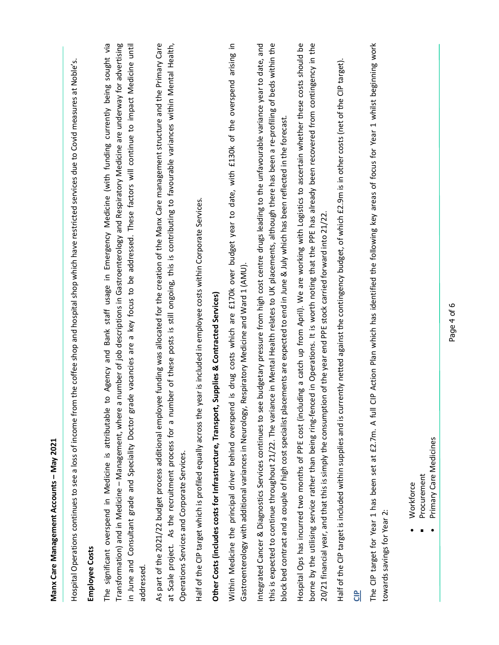| Manx Care Management Accounts - May 2021                                                                                                                                                                                                                                                                                                                                                                                                                                                              |
|-------------------------------------------------------------------------------------------------------------------------------------------------------------------------------------------------------------------------------------------------------------------------------------------------------------------------------------------------------------------------------------------------------------------------------------------------------------------------------------------------------|
| m the coffee shop and hospital shop which have restricted services due to Covid measures at Noble's.<br>Hospital Operations continues to see a loss of income fro                                                                                                                                                                                                                                                                                                                                     |
| <b>Employee Costs</b>                                                                                                                                                                                                                                                                                                                                                                                                                                                                                 |
| to Agency and Bank staff usage in Emergency Medicine (with funding currently being sought via<br>a number of job descriptions in Gastroenterology and Respiratory Medicine are underway for advertising<br>ade vacancies are a key focus to be addressed. These factors will continue to impact Medicine until<br>The significant overspend in Medicine is attributable<br>Transformation) and in Medicine - Management, where<br>in June and Consultant grade and Speciality Doctor gr<br>addressed. |
| As part of the 2021/22 budget process additional employee funding was allocated for the creation of the Manx Care management structure and the Primary Care<br>at Scale project. As the recruitment process for a number of these posts is still ongoing, this is contributing to favourable variances within Mental Health,<br>Operations Services and Corporate Services.                                                                                                                           |
| year is included in employee costs within Corporate Services.<br>Half of the CIP target which is profiled equally across the                                                                                                                                                                                                                                                                                                                                                                          |
| Other Costs (includes costs for Infrastructure, Transport, Supplies & Contracted Services)                                                                                                                                                                                                                                                                                                                                                                                                            |
| Within Medicine the principal driver behind overspend is drug costs which are £170k over budget year to date, with £130k of the overspend arising in<br>Respiratory Medicine and Ward 1 (AMU).<br>Gastroenterology with additional variances in Neurology,                                                                                                                                                                                                                                            |
| this is expected to continue throughout 21/22. The variance in Mental Health relates to UK placements, although there has been a re-profiling of beds within the<br>Integrated Cancer & Diagnostics Services continues to see budgetary pressure from high cost centre drugs leading to the unfavourable variance year to date, and<br>block bed contract and a couple of high cost specialist placements are expected to end in June & July which has been reflected in the forecast.                |
| Hospital Ops has incurred two months of PPE cost (including a catch up from April). We are working with Logistics to ascertain whether these costs should be<br>borne by the utilising service rather than being ring-fenced in Operations. It is worth noting that the PPE has already been recovered from contingency in the<br>20/21 financial year, and that this is simply the consumption of the year end PPE stock carried forward into 21/22.                                                 |
| Half of the CIP target is included within supplies and is currently netted against the contingency budget, of which £2.9m is in other costs (net of the CIP target).                                                                                                                                                                                                                                                                                                                                  |
| ဌ                                                                                                                                                                                                                                                                                                                                                                                                                                                                                                     |
| CIP Action Plan which has identified the following key areas of focus for Year 1 whilst beginning work<br>The CIP target for Year 1 has been set at £2.7m. A full<br>towards savings for Year 2:                                                                                                                                                                                                                                                                                                      |
| Primary Care Medicines<br>Procurement<br>Workforce                                                                                                                                                                                                                                                                                                                                                                                                                                                    |
| Page 4 of 6                                                                                                                                                                                                                                                                                                                                                                                                                                                                                           |
|                                                                                                                                                                                                                                                                                                                                                                                                                                                                                                       |
|                                                                                                                                                                                                                                                                                                                                                                                                                                                                                                       |
|                                                                                                                                                                                                                                                                                                                                                                                                                                                                                                       |
|                                                                                                                                                                                                                                                                                                                                                                                                                                                                                                       |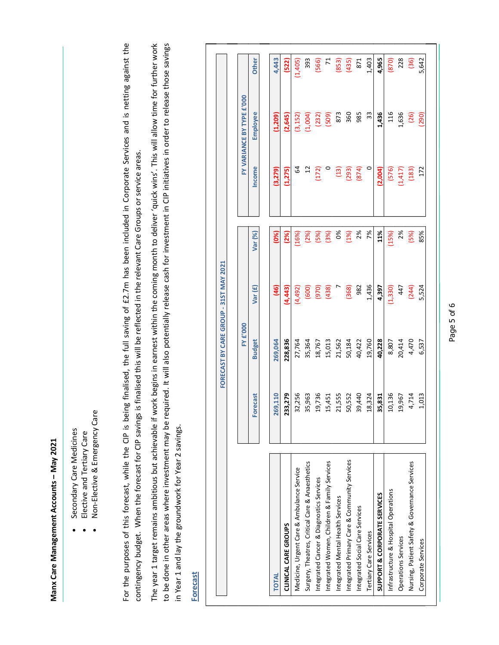- 
- 
- 

| The year 1 target remains ambitious but achievable if work begins in earnest within the coming month to deliver 'quick wins'. This will allow time for further work<br>to be done in other areas where investment may be required. It will also potentially release cash for investment in CIP initiatives in order to release those savings<br>in Year 1 and lay the groundwork for Year 2 savings.<br><b>Forecast</b> |                  |                  | FORECAST BY CARE GROUP - 31ST MAY 2021 |              |                  |                           |                       |
|-------------------------------------------------------------------------------------------------------------------------------------------------------------------------------------------------------------------------------------------------------------------------------------------------------------------------------------------------------------------------------------------------------------------------|------------------|------------------|----------------------------------------|--------------|------------------|---------------------------|-----------------------|
|                                                                                                                                                                                                                                                                                                                                                                                                                         |                  | <b>FY £'000</b>  |                                        |              |                  | FY VARIANCE BY TYPE £'000 |                       |
|                                                                                                                                                                                                                                                                                                                                                                                                                         | <b>Forecast</b>  | <b>Budget</b>    | Var (£)                                | Var (%)      | Income           | Employee                  | Other                 |
| <b>TOTAL</b>                                                                                                                                                                                                                                                                                                                                                                                                            | 269,110          | 269,064          | $\overline{9}$                         | (0%)         | (3,279)          | (1, 209)                  | 4,443                 |
| CLINICAL CARE GROUPS                                                                                                                                                                                                                                                                                                                                                                                                    | 233,279          | 228,836          | (4,443)                                | (2%)         | (1,275)          | (2,645)                   | (522)                 |
| Medicine, Urgent Care & Ambulance Service                                                                                                                                                                                                                                                                                                                                                                               | 32,256           | 27,764           | (4,492)                                | (16%)        | 64               | (3, 152)                  | (1,405)               |
| Surgery, Theatres, Critical Care & Anaesthetics                                                                                                                                                                                                                                                                                                                                                                         | 35,963           | 35,364           | (600)                                  | (2%)         | $\overline{12}$  | (1,004)                   | 393                   |
| Integrated Cancer & Diagnostics Services                                                                                                                                                                                                                                                                                                                                                                                | 19,736           | 18,767           | (970)                                  | (5%)<br>(3%) | $\circ$<br>(172) | (232)<br>(509)            | (566)<br>$\mathbf{z}$ |
| Integrated Women, Children & Family Services<br>Integrated Mental Health Services                                                                                                                                                                                                                                                                                                                                       | 21,555<br>15,451 | 15,013<br>21,562 | (438)                                  | 0%           | $(13)$           | 873                       | (853)                 |
| Integrated Primary Care & Community Services                                                                                                                                                                                                                                                                                                                                                                            | 50,552           | 50,184           | (368)                                  | (1%)         | (293)            | 360                       | (435)                 |
| Integrated Social Care Services                                                                                                                                                                                                                                                                                                                                                                                         | 39,440           | 40,422           | 982                                    | 2%           | (874)            | 985                       | 871                   |
| <b>Tertiary Care Services</b>                                                                                                                                                                                                                                                                                                                                                                                           | 18,324           | 19,760           | 1,436                                  | 7%           | $\circ$          | 33                        | 1,403                 |
| SUPPORT & CORPORATE SERVICES                                                                                                                                                                                                                                                                                                                                                                                            | 35,831           | 40,228           | 4,397                                  | 11%          | (2,004)          | 1,436                     | 4,965                 |
| Infrastructure & Hospital Operations                                                                                                                                                                                                                                                                                                                                                                                    | 10,136           | 8,807            | (1, 330)                               | (15%)        | (576)            | 116                       | (870)                 |
| Operations Services                                                                                                                                                                                                                                                                                                                                                                                                     | 19,967           | 20,414           | 447                                    | 2%           | (1, 417)         | 1,636                     | 228                   |
| Nursing, Patient Safety & Governance Services                                                                                                                                                                                                                                                                                                                                                                           | 4,714            | 4,470            | (244)                                  | (5%)         | (183)            | (26)                      | (36)                  |
| Corporate Services                                                                                                                                                                                                                                                                                                                                                                                                      | 1,013            | 6,537            | 5,524                                  | 85%          | 172              | (290)                     | 5,642                 |